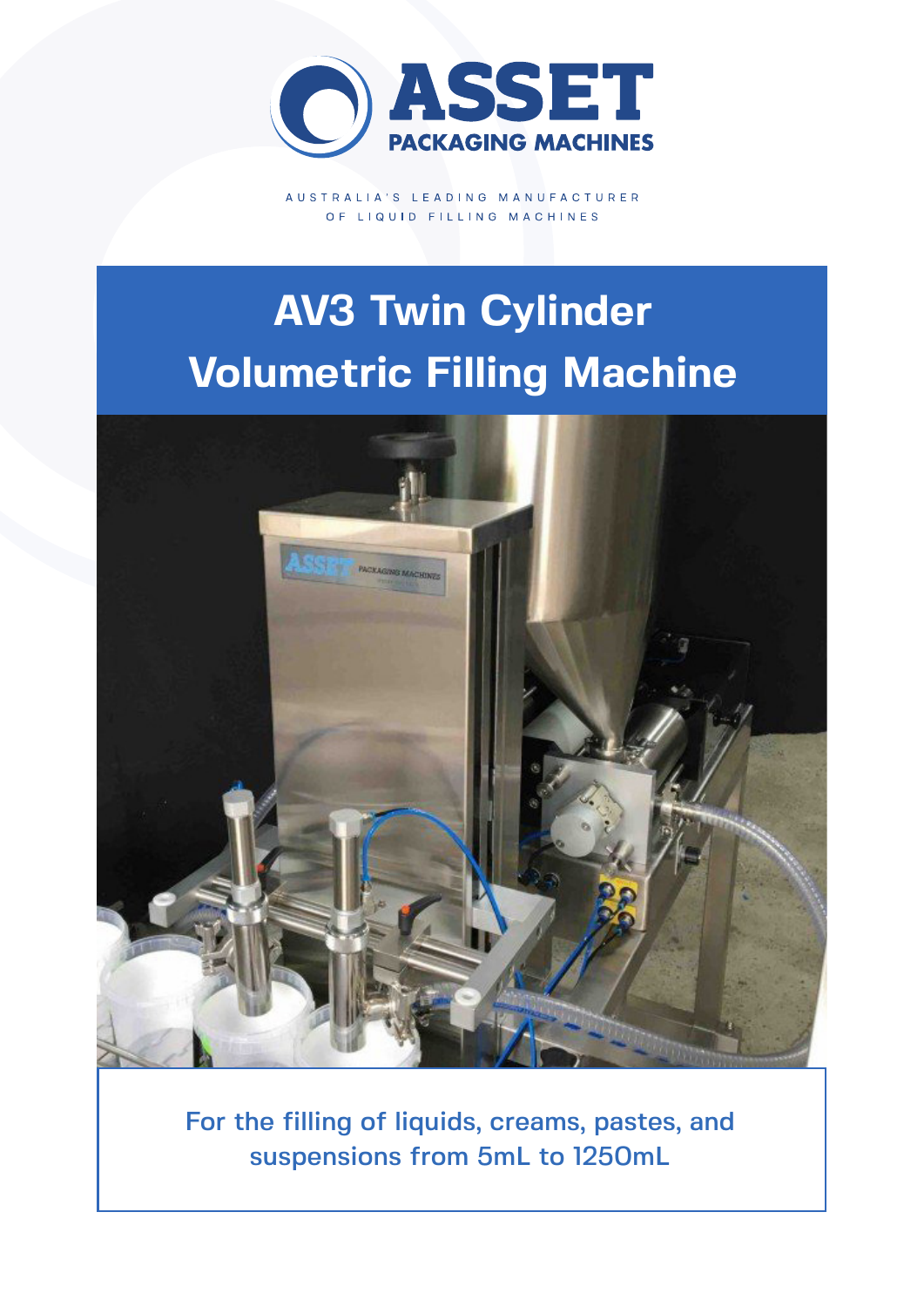

AUSTRALIA'S LEADING MANUFACTURER OF LIQUID FILLING MACHINES

# **AV3 Twin Cylinder Volumetric Filling Machine**



For the filling of liquids, creams, pastes, and suspensions from 5mL to 1250mL